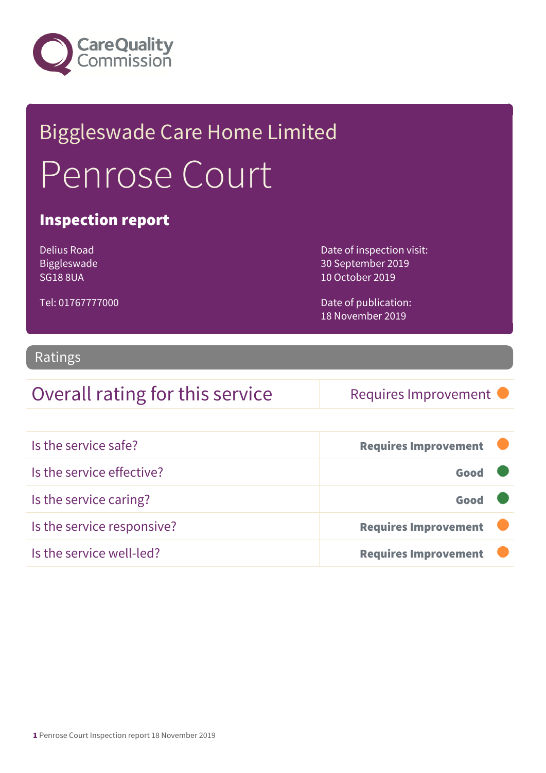

# Biggleswade Care Home Limited Penrose Court

### Inspection report

Delius Road Biggleswade SG18 8UA

Date of inspection visit: 30 September 2019 10 October 2019

Date of publication: 18 November 2019

### Tel: 01767777000

### Ratings

### Overall rating for this service Requires Improvement

| Is the service safe?       | <b>Requires Improvement</b> |
|----------------------------|-----------------------------|
| Is the service effective?  | Good                        |
| Is the service caring?     | Good                        |
| Is the service responsive? | <b>Requires Improvement</b> |
| Is the service well-led?   | <b>Requires Improvement</b> |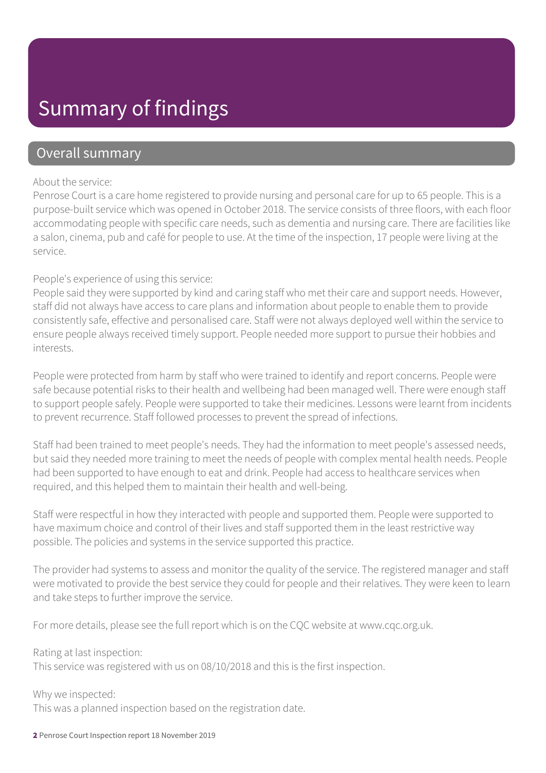# Summary of findings

### Overall summary

#### About the service:

Penrose Court is a care home registered to provide nursing and personal care for up to 65 people. This is a purpose-built service which was opened in October 2018. The service consists of three floors, with each floor accommodating people with specific care needs, such as dementia and nursing care. There are facilities like a salon, cinema, pub and café for people to use. At the time of the inspection, 17 people were living at the service.

### People's experience of using this service:

People said they were supported by kind and caring staff who met their care and support needs. However, staff did not always have access to care plans and information about people to enable them to provide consistently safe, effective and personalised care. Staff were not always deployed well within the service to ensure people always received timely support. People needed more support to pursue their hobbies and interests.

People were protected from harm by staff who were trained to identify and report concerns. People were safe because potential risks to their health and wellbeing had been managed well. There were enough staff to support people safely. People were supported to take their medicines. Lessons were learnt from incidents to prevent recurrence. Staff followed processes to prevent the spread of infections.

Staff had been trained to meet people's needs. They had the information to meet people's assessed needs, but said they needed more training to meet the needs of people with complex mental health needs. People had been supported to have enough to eat and drink. People had access to healthcare services when required, and this helped them to maintain their health and well-being.

Staff were respectful in how they interacted with people and supported them. People were supported to have maximum choice and control of their lives and staff supported them in the least restrictive way possible. The policies and systems in the service supported this practice.

The provider had systems to assess and monitor the quality of the service. The registered manager and staff were motivated to provide the best service they could for people and their relatives. They were keen to learn and take steps to further improve the service.

For more details, please see the full report which is on the CQC website at www.cqc.org.uk.

Rating at last inspection:

This service was registered with us on 08/10/2018 and this is the first inspection.

Why we inspected:

This was a planned inspection based on the registration date.

2 Penrose Court Inspection report 18 November 2019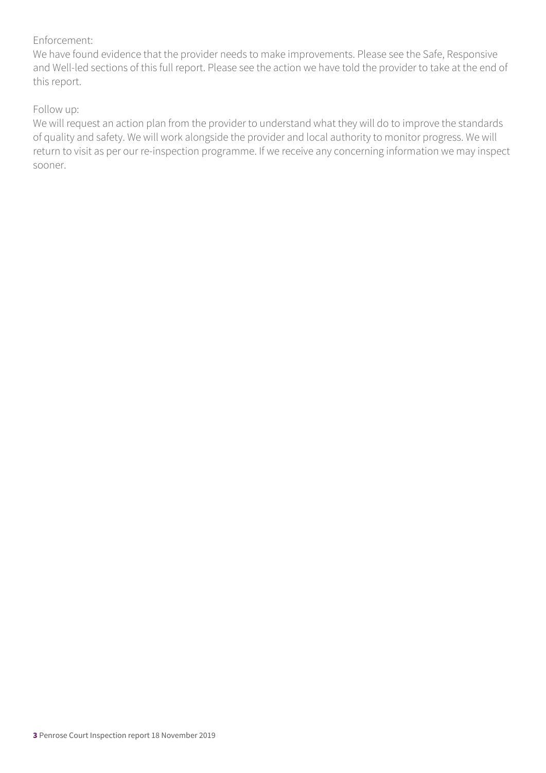### Enforcement:

We have found evidence that the provider needs to make improvements. Please see the Safe, Responsive and Well-led sections of this full report. Please see the action we have told the provider to take at the end of this report.

### Follow up:

We will request an action plan from the provider to understand what they will do to improve the standards of quality and safety. We will work alongside the provider and local authority to monitor progress. We will return to visit as per our re-inspection programme. If we receive any concerning information we may inspect sooner.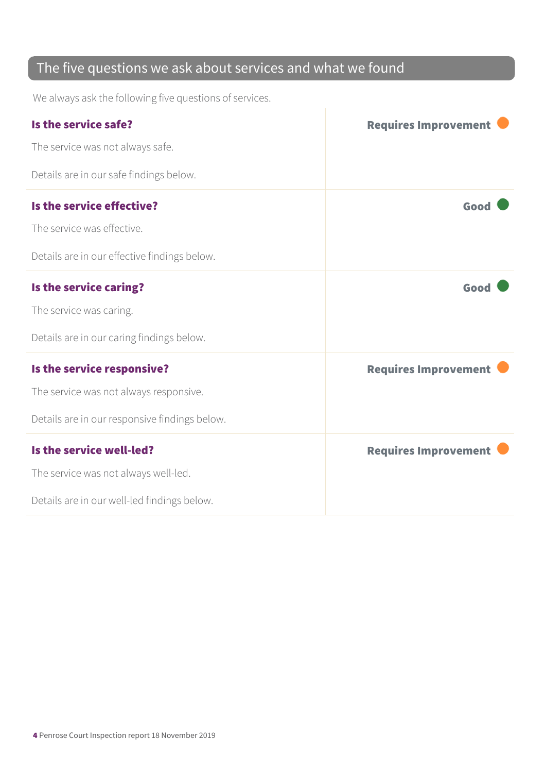### The five questions we ask about services and what we found

We always ask the following five questions of services.

| Is the service safe?                          | <b>Requires Improvement</b> |
|-----------------------------------------------|-----------------------------|
| The service was not always safe.              |                             |
| Details are in our safe findings below.       |                             |
| Is the service effective?                     | Good                        |
| The service was effective.                    |                             |
| Details are in our effective findings below.  |                             |
| Is the service caring?                        | Good                        |
| The service was caring.                       |                             |
| Details are in our caring findings below.     |                             |
| Is the service responsive?                    | <b>Requires Improvement</b> |
| The service was not always responsive.        |                             |
| Details are in our responsive findings below. |                             |
| Is the service well-led?                      | <b>Requires Improvement</b> |
| The service was not always well-led.          |                             |
| Details are in our well-led findings below.   |                             |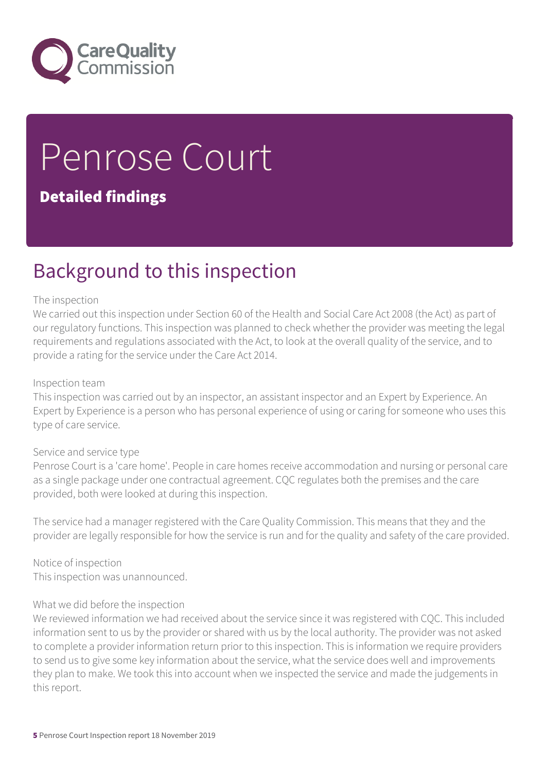

# Penrose Court

### Detailed findings

# Background to this inspection

#### The inspection

We carried out this inspection under Section 60 of the Health and Social Care Act 2008 (the Act) as part of our regulatory functions. This inspection was planned to check whether the provider was meeting the legal requirements and regulations associated with the Act, to look at the overall quality of the service, and to provide a rating for the service under the Care Act 2014.

#### Inspection team

This inspection was carried out by an inspector, an assistant inspector and an Expert by Experience. An Expert by Experience is a person who has personal experience of using or caring for someone who uses this type of care service.

#### Service and service type

Penrose Court is a 'care home'. People in care homes receive accommodation and nursing or personal care as a single package under one contractual agreement. CQC regulates both the premises and the care provided, both were looked at during this inspection.

The service had a manager registered with the Care Quality Commission. This means that they and the provider are legally responsible for how the service is run and for the quality and safety of the care provided.

Notice of inspection This inspection was unannounced.

#### What we did before the inspection

We reviewed information we had received about the service since it was registered with CQC. This included information sent to us by the provider or shared with us by the local authority. The provider was not asked to complete a provider information return prior to this inspection. This is information we require providers to send us to give some key information about the service, what the service does well and improvements they plan to make. We took this into account when we inspected the service and made the judgements in this report.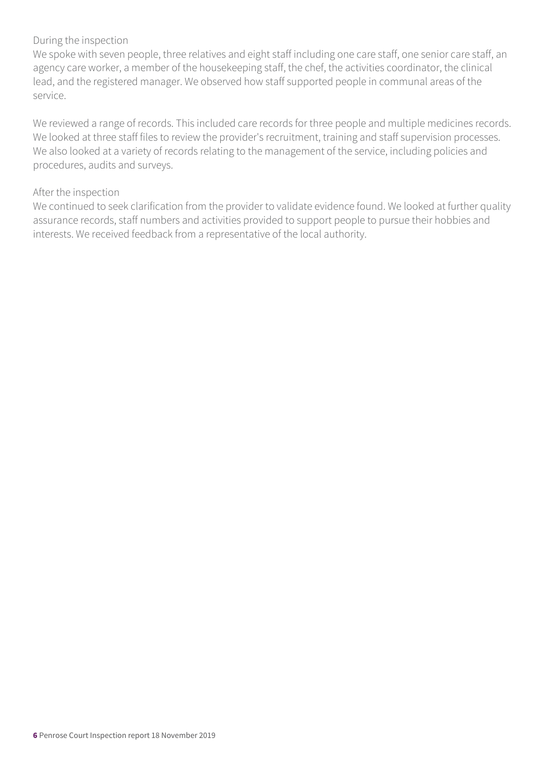### During the inspection

We spoke with seven people, three relatives and eight staff including one care staff, one senior care staff, an agency care worker, a member of the housekeeping staff, the chef, the activities coordinator, the clinical lead, and the registered manager. We observed how staff supported people in communal areas of the service.

We reviewed a range of records. This included care records for three people and multiple medicines records. We looked at three staff files to review the provider's recruitment, training and staff supervision processes. We also looked at a variety of records relating to the management of the service, including policies and procedures, audits and surveys.

### After the inspection

We continued to seek clarification from the provider to validate evidence found. We looked at further quality assurance records, staff numbers and activities provided to support people to pursue their hobbies and interests. We received feedback from a representative of the local authority.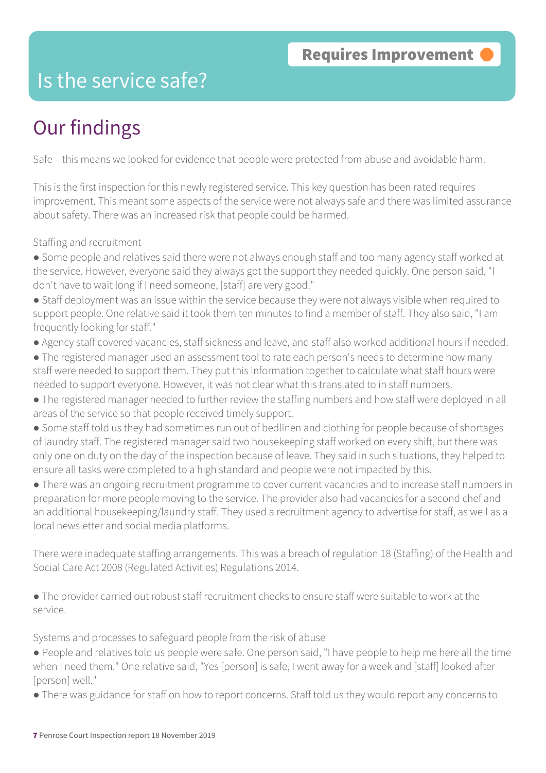## Is the service safe?

# Our findings

Safe – this means we looked for evidence that people were protected from abuse and avoidable harm.

This is the first inspection for this newly registered service. This key question has been rated requires improvement. This meant some aspects of the service were not always safe and there was limited assurance about safety. There was an increased risk that people could be harmed.

Staffing and recruitment

- Some people and relatives said there were not always enough staff and too many agency staff worked at the service. However, everyone said they always got the support they needed quickly. One person said, "I don't have to wait long if I need someone, [staff] are very good."
- Staff deployment was an issue within the service because they were not always visible when required to support people. One relative said it took them ten minutes to find a member of staff. They also said, "I am frequently looking for staff."
- Agency staff covered vacancies, staff sickness and leave, and staff also worked additional hours if needed.
- The registered manager used an assessment tool to rate each person's needs to determine how many staff were needed to support them. They put this information together to calculate what staff hours were needed to support everyone. However, it was not clear what this translated to in staff numbers.
- The registered manager needed to further review the staffing numbers and how staff were deployed in all areas of the service so that people received timely support.
- Some staff told us they had sometimes run out of bedlinen and clothing for people because of shortages of laundry staff. The registered manager said two housekeeping staff worked on every shift, but there was only one on duty on the day of the inspection because of leave. They said in such situations, they helped to ensure all tasks were completed to a high standard and people were not impacted by this.
- There was an ongoing recruitment programme to cover current vacancies and to increase staff numbers in preparation for more people moving to the service. The provider also had vacancies for a second chef and an additional housekeeping/laundry staff. They used a recruitment agency to advertise for staff, as well as a local newsletter and social media platforms.

There were inadequate staffing arrangements. This was a breach of regulation 18 (Staffing) of the Health and Social Care Act 2008 (Regulated Activities) Regulations 2014.

● The provider carried out robust staff recruitment checks to ensure staff were suitable to work at the service.

Systems and processes to safeguard people from the risk of abuse

- People and relatives told us people were safe. One person said, "I have people to help me here all the time when I need them." One relative said, "Yes [person] is safe, I went away for a week and [staff] looked after [person] well."
- There was guidance for staff on how to report concerns. Staff told us they would report any concerns to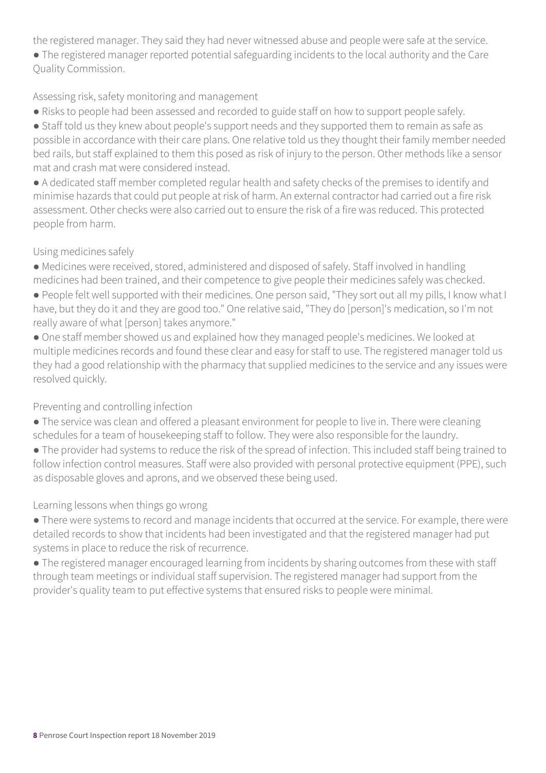the registered manager. They said they had never witnessed abuse and people were safe at the service.

● The registered manager reported potential safeguarding incidents to the local authority and the Care Quality Commission.

### Assessing risk, safety monitoring and management

- Risks to people had been assessed and recorded to guide staff on how to support people safely.
- Staff told us they knew about people's support needs and they supported them to remain as safe as possible in accordance with their care plans. One relative told us they thought their family member needed bed rails, but staff explained to them this posed as risk of injury to the person. Other methods like a sensor mat and crash mat were considered instead.

● A dedicated staff member completed regular health and safety checks of the premises to identify and minimise hazards that could put people at risk of harm. An external contractor had carried out a fire risk assessment. Other checks were also carried out to ensure the risk of a fire was reduced. This protected people from harm.

### Using medicines safely

- Medicines were received, stored, administered and disposed of safely. Staff involved in handling medicines had been trained, and their competence to give people their medicines safely was checked.
- People felt well supported with their medicines. One person said, "They sort out all my pills, I know what I have, but they do it and they are good too." One relative said, "They do [person]'s medication, so I'm not really aware of what [person] takes anymore."
- One staff member showed us and explained how they managed people's medicines. We looked at multiple medicines records and found these clear and easy for staff to use. The registered manager told us they had a good relationship with the pharmacy that supplied medicines to the service and any issues were resolved quickly.

### Preventing and controlling infection

- The service was clean and offered a pleasant environment for people to live in. There were cleaning schedules for a team of housekeeping staff to follow. They were also responsible for the laundry.
- The provider had systems to reduce the risk of the spread of infection. This included staff being trained to follow infection control measures. Staff were also provided with personal protective equipment (PPE), such as disposable gloves and aprons, and we observed these being used.

### Learning lessons when things go wrong

- There were systems to record and manage incidents that occurred at the service. For example, there were detailed records to show that incidents had been investigated and that the registered manager had put systems in place to reduce the risk of recurrence.
- The registered manager encouraged learning from incidents by sharing outcomes from these with staff through team meetings or individual staff supervision. The registered manager had support from the provider's quality team to put effective systems that ensured risks to people were minimal.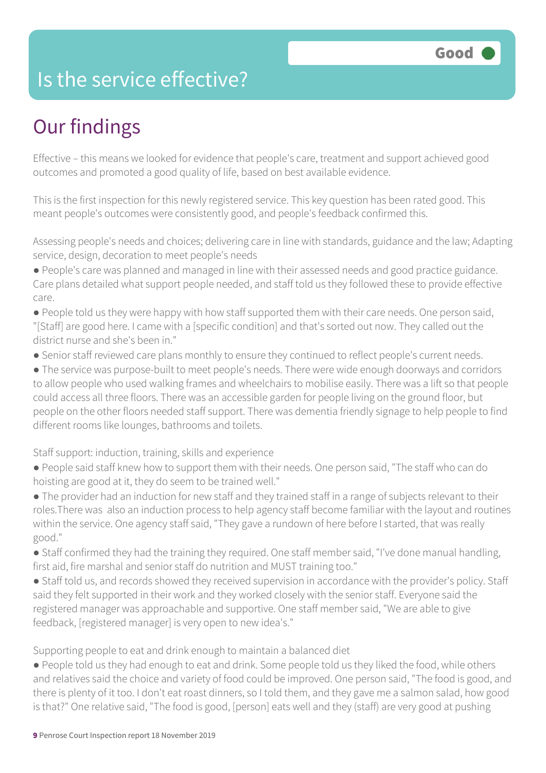# Is the service effective?

# Our findings

Effective – this means we looked for evidence that people's care, treatment and support achieved good outcomes and promoted a good quality of life, based on best available evidence.

This is the first inspection for this newly registered service. This key question has been rated good. This meant people's outcomes were consistently good, and people's feedback confirmed this.

Assessing people's needs and choices; delivering care in line with standards, guidance and the law; Adapting service, design, decoration to meet people's needs

- People's care was planned and managed in line with their assessed needs and good practice guidance. Care plans detailed what support people needed, and staff told us they followed these to provide effective care.
- People told us they were happy with how staff supported them with their care needs. One person said, "[Staff] are good here. I came with a [specific condition] and that's sorted out now. They called out the district nurse and she's been in."
- Senior staff reviewed care plans monthly to ensure they continued to reflect people's current needs.

● The service was purpose-built to meet people's needs. There were wide enough doorways and corridors to allow people who used walking frames and wheelchairs to mobilise easily. There was a lift so that people could access all three floors. There was an accessible garden for people living on the ground floor, but people on the other floors needed staff support. There was dementia friendly signage to help people to find different rooms like lounges, bathrooms and toilets.

### Staff support: induction, training, skills and experience

- People said staff knew how to support them with their needs. One person said, "The staff who can do hoisting are good at it, they do seem to be trained well."
- The provider had an induction for new staff and they trained staff in a range of subjects relevant to their roles.There was also an induction process to help agency staff become familiar with the layout and routines within the service. One agency staff said, "They gave a rundown of here before I started, that was really good."
- Staff confirmed they had the training they required. One staff member said, "I've done manual handling, first aid, fire marshal and senior staff do nutrition and MUST training too."
- Staff told us, and records showed they received supervision in accordance with the provider's policy. Staff said they felt supported in their work and they worked closely with the senior staff. Everyone said the registered manager was approachable and supportive. One staff member said, "We are able to give feedback, [registered manager] is very open to new idea's."

Supporting people to eat and drink enough to maintain a balanced diet

● People told us they had enough to eat and drink. Some people told us they liked the food, while others and relatives said the choice and variety of food could be improved. One person said, "The food is good, and there is plenty of it too. I don't eat roast dinners, so I told them, and they gave me a salmon salad, how good is that?" One relative said, "The food is good, [person] eats well and they (staff) are very good at pushing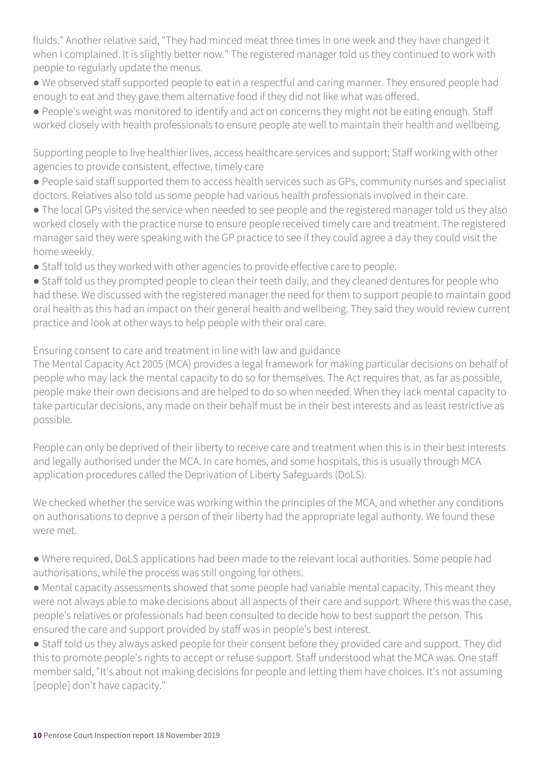fluids." Another relative said, "They had minced meat three times in one week and they have changed it when I complained. It is slightly better now." The registered manager told us they continued to work with people to regularly update the menus.

● We observed staff supported people to eat in a respectful and caring manner. They ensured people had enough to eat and they gave them alternative food if they did not like what was offered.

● People's weight was monitored to identify and act on concerns they might not be eating enough. Staff worked closely with health professionals to ensure people ate well to maintain their health and wellbeing.

Supporting people to live healthier lives, access healthcare services and support; Staff working with other agencies to provide consistent, effective, timely care

- People said staff supported them to access health services such as GPs, community nurses and specialist doctors. Relatives also told us some people had various health professionals involved in their care.
- The local GPs visited the service when needed to see people and the registered manager told us they also worked closely with the practice nurse to ensure people received timely care and treatment. The registered manager said they were speaking with the GP practice to see if they could agree a day they could visit the home weekly.
- Staff told us they worked with other agencies to provide effective care to people.

• Staff told us they prompted people to clean their teeth daily, and they cleaned dentures for people who had these. We discussed with the registered manager the need for them to support people to maintain good oral health as this had an impact on their general health and wellbeing. They said they would review current practice and look at other ways to help people with their oral care.

Ensuring consent to care and treatment in line with law and guidance

The Mental Capacity Act 2005 (MCA) provides a legal framework for making particular decisions on behalf of people who may lack the mental capacity to do so for themselves. The Act requires that, as far as possible, people make their own decisions and are helped to do so when needed. When they lack mental capacity to take particular decisions, any made on their behalf must be in their best interests and as least restrictive as possible.

People can only be deprived of their liberty to receive care and treatment when this is in their best interests and legally authorised under the MCA. In care homes, and some hospitals, this is usually through MCA application procedures called the Deprivation of Liberty Safeguards (DoLS).

We checked whether the service was working within the principles of the MCA, and whether any conditions on authorisations to deprive a person of their liberty had the appropriate legal authority. We found these were met.

- Where required, DoLS applications had been made to the relevant local authorities. Some people had authorisations, while the process was still ongoing for others.
- Mental capacity assessments showed that some people had variable mental capacity. This meant they were not always able to make decisions about all aspects of their care and support. Where this was the case, people's relatives or professionals had been consulted to decide how to best support the person. This ensured the care and support provided by staff was in people's best interest.

● Staff told us they always asked people for their consent before they provided care and support. They did this to promote people's rights to accept or refuse support. Staff understood what the MCA was. One staff member said, "It's about not making decisions for people and letting them have choices. It's not assuming [people] don't have capacity."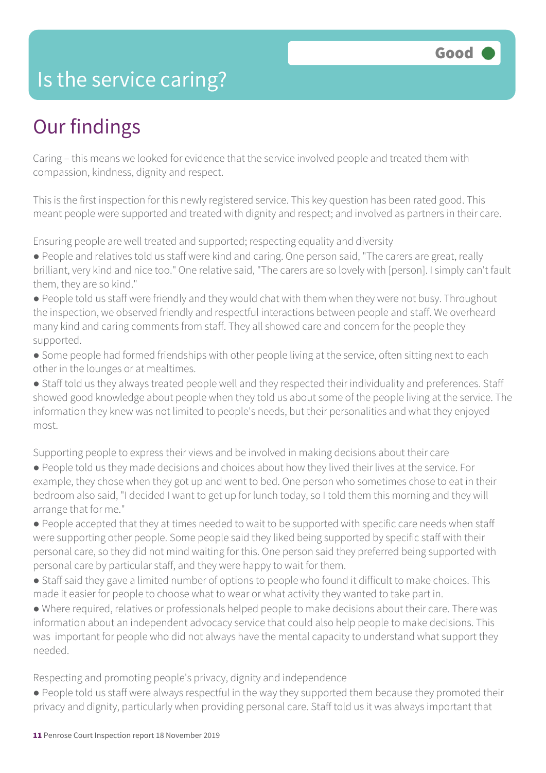### Is the service caring?

# Our findings

Caring – this means we looked for evidence that the service involved people and treated them with compassion, kindness, dignity and respect.

This is the first inspection for this newly registered service. This key question has been rated good. This meant people were supported and treated with dignity and respect; and involved as partners in their care.

Ensuring people are well treated and supported; respecting equality and diversity

- People and relatives told us staff were kind and caring. One person said, "The carers are great, really brilliant, very kind and nice too." One relative said, "The carers are so lovely with [person]. I simply can't fault them, they are so kind."
- People told us staff were friendly and they would chat with them when they were not busy. Throughout the inspection, we observed friendly and respectful interactions between people and staff. We overheard many kind and caring comments from staff. They all showed care and concern for the people they supported.
- Some people had formed friendships with other people living at the service, often sitting next to each other in the lounges or at mealtimes.
- Staff told us they always treated people well and they respected their individuality and preferences. Staff showed good knowledge about people when they told us about some of the people living at the service. The information they knew was not limited to people's needs, but their personalities and what they enjoyed most.

Supporting people to express their views and be involved in making decisions about their care

- People told us they made decisions and choices about how they lived their lives at the service. For example, they chose when they got up and went to bed. One person who sometimes chose to eat in their bedroom also said, "I decided I want to get up for lunch today, so I told them this morning and they will arrange that for me."
- People accepted that they at times needed to wait to be supported with specific care needs when staff were supporting other people. Some people said they liked being supported by specific staff with their personal care, so they did not mind waiting for this. One person said they preferred being supported with personal care by particular staff, and they were happy to wait for them.
- Staff said they gave a limited number of options to people who found it difficult to make choices. This made it easier for people to choose what to wear or what activity they wanted to take part in.
- Where required, relatives or professionals helped people to make decisions about their care. There was information about an independent advocacy service that could also help people to make decisions. This was important for people who did not always have the mental capacity to understand what support they needed.

Respecting and promoting people's privacy, dignity and independence

● People told us staff were always respectful in the way they supported them because they promoted their privacy and dignity, particularly when providing personal care. Staff told us it was always important that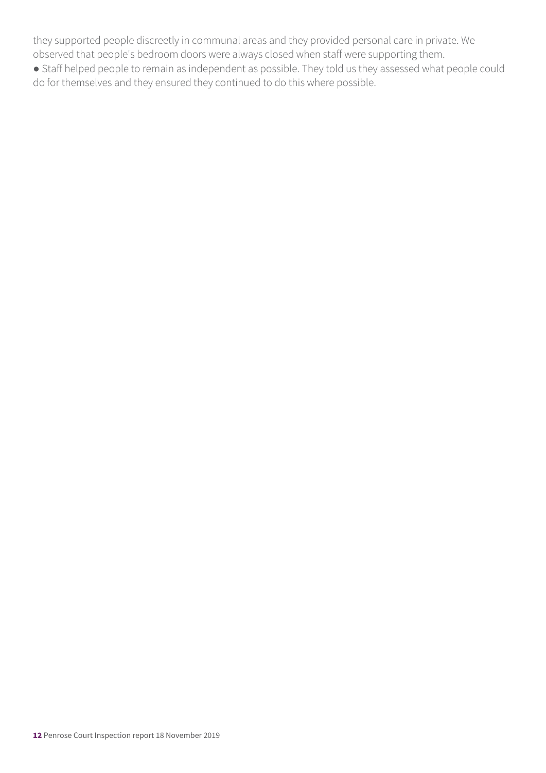they supported people discreetly in communal areas and they provided personal care in private. We observed that people's bedroom doors were always closed when staff were supporting them.

● Staff helped people to remain as independent as possible. They told us they assessed what people could do for themselves and they ensured they continued to do this where possible.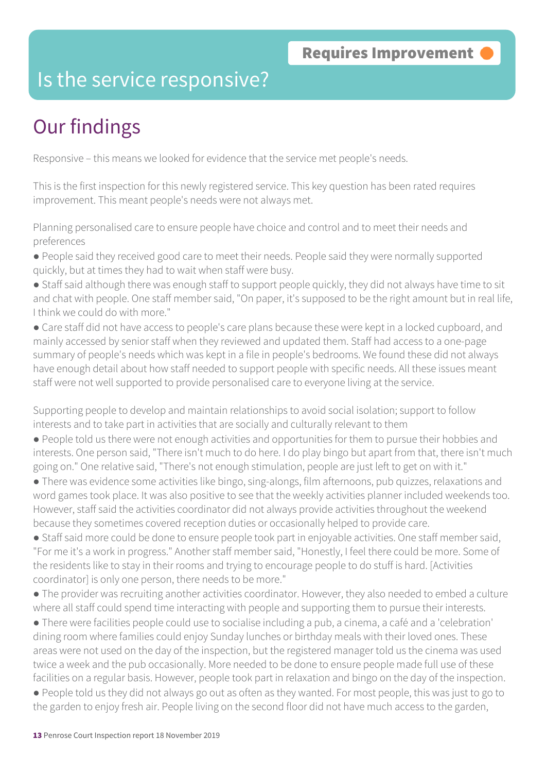### Is the service responsive?

# Our findings

Responsive – this means we looked for evidence that the service met people's needs.

This is the first inspection for this newly registered service. This key question has been rated requires improvement. This meant people's needs were not always met.

Planning personalised care to ensure people have choice and control and to meet their needs and preferences

● People said they received good care to meet their needs. People said they were normally supported quickly, but at times they had to wait when staff were busy.

● Staff said although there was enough staff to support people quickly, they did not always have time to sit and chat with people. One staff member said, "On paper, it's supposed to be the right amount but in real life, I think we could do with more."

● Care staff did not have access to people's care plans because these were kept in a locked cupboard, and mainly accessed by senior staff when they reviewed and updated them. Staff had access to a one-page summary of people's needs which was kept in a file in people's bedrooms. We found these did not always have enough detail about how staff needed to support people with specific needs. All these issues meant staff were not well supported to provide personalised care to everyone living at the service.

Supporting people to develop and maintain relationships to avoid social isolation; support to follow interests and to take part in activities that are socially and culturally relevant to them

● People told us there were not enough activities and opportunities for them to pursue their hobbies and interests. One person said, "There isn't much to do here. I do play bingo but apart from that, there isn't much going on." One relative said, "There's not enough stimulation, people are just left to get on with it."

● There was evidence some activities like bingo, sing-alongs, film afternoons, pub quizzes, relaxations and word games took place. It was also positive to see that the weekly activities planner included weekends too. However, staff said the activities coordinator did not always provide activities throughout the weekend because they sometimes covered reception duties or occasionally helped to provide care.

● Staff said more could be done to ensure people took part in enjoyable activities. One staff member said, "For me it's a work in progress." Another staff member said, "Honestly, I feel there could be more. Some of the residents like to stay in their rooms and trying to encourage people to do stuff is hard. [Activities coordinator] is only one person, there needs to be more."

● The provider was recruiting another activities coordinator. However, they also needed to embed a culture where all staff could spend time interacting with people and supporting them to pursue their interests.

● There were facilities people could use to socialise including a pub, a cinema, a café and a 'celebration' dining room where families could enjoy Sunday lunches or birthday meals with their loved ones. These areas were not used on the day of the inspection, but the registered manager told us the cinema was used twice a week and the pub occasionally. More needed to be done to ensure people made full use of these facilities on a regular basis. However, people took part in relaxation and bingo on the day of the inspection.

● People told us they did not always go out as often as they wanted. For most people, this was just to go to the garden to enjoy fresh air. People living on the second floor did not have much access to the garden,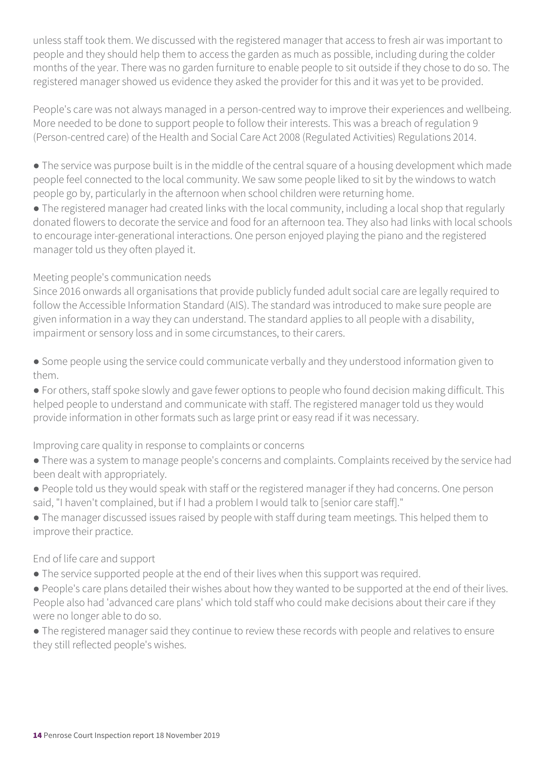unless staff took them. We discussed with the registered manager that access to fresh air was important to people and they should help them to access the garden as much as possible, including during the colder months of the year. There was no garden furniture to enable people to sit outside if they chose to do so. The registered manager showed us evidence they asked the provider for this and it was yet to be provided.

People's care was not always managed in a person-centred way to improve their experiences and wellbeing. More needed to be done to support people to follow their interests. This was a breach of regulation 9 (Person-centred care) of the Health and Social Care Act 2008 (Regulated Activities) Regulations 2014.

● The service was purpose built is in the middle of the central square of a housing development which made people feel connected to the local community. We saw some people liked to sit by the windows to watch people go by, particularly in the afternoon when school children were returning home.

● The registered manager had created links with the local community, including a local shop that regularly donated flowers to decorate the service and food for an afternoon tea. They also had links with local schools to encourage inter-generational interactions. One person enjoyed playing the piano and the registered manager told us they often played it.

### Meeting people's communication needs

Since 2016 onwards all organisations that provide publicly funded adult social care are legally required to follow the Accessible Information Standard (AIS). The standard was introduced to make sure people are given information in a way they can understand. The standard applies to all people with a disability, impairment or sensory loss and in some circumstances, to their carers.

● Some people using the service could communicate verbally and they understood information given to them.

● For others, staff spoke slowly and gave fewer options to people who found decision making difficult. This helped people to understand and communicate with staff. The registered manager told us they would provide information in other formats such as large print or easy read if it was necessary.

### Improving care quality in response to complaints or concerns

- There was a system to manage people's concerns and complaints. Complaints received by the service had been dealt with appropriately.
- People told us they would speak with staff or the registered manager if they had concerns. One person said, "I haven't complained, but if I had a problem I would talk to [senior care staff]."
- The manager discussed issues raised by people with staff during team meetings. This helped them to improve their practice.

### End of life care and support

- The service supported people at the end of their lives when this support was required.
- People's care plans detailed their wishes about how they wanted to be supported at the end of their lives. People also had 'advanced care plans' which told staff who could make decisions about their care if they were no longer able to do so.
- The registered manager said they continue to review these records with people and relatives to ensure they still reflected people's wishes.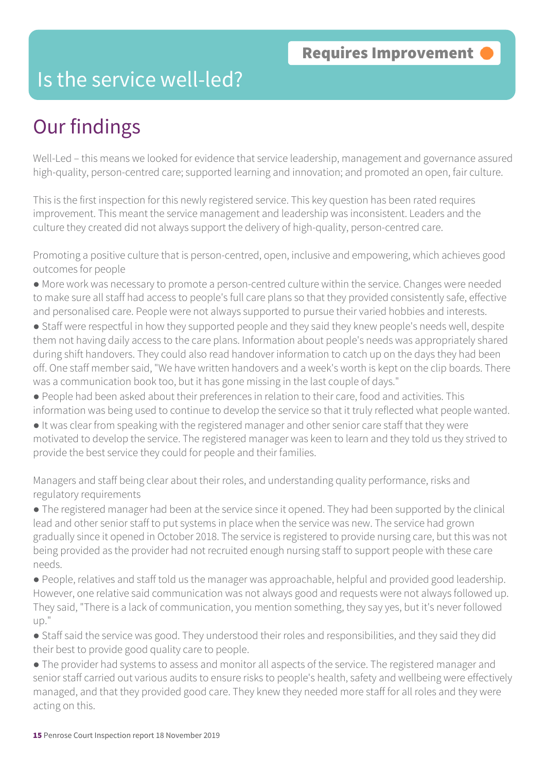### Is the service well-led?

# Our findings

Well-Led – this means we looked for evidence that service leadership, management and governance assured high-quality, person-centred care; supported learning and innovation; and promoted an open, fair culture.

This is the first inspection for this newly registered service. This key question has been rated requires improvement. This meant the service management and leadership was inconsistent. Leaders and the culture they created did not always support the delivery of high-quality, person-centred care.

Promoting a positive culture that is person-centred, open, inclusive and empowering, which achieves good outcomes for people

- More work was necessary to promote a person-centred culture within the service. Changes were needed to make sure all staff had access to people's full care plans so that they provided consistently safe, effective and personalised care. People were not always supported to pursue their varied hobbies and interests.
- Staff were respectful in how they supported people and they said they knew people's needs well, despite them not having daily access to the care plans. Information about people's needs was appropriately shared during shift handovers. They could also read handover information to catch up on the days they had been off. One staff member said, "We have written handovers and a week's worth is kept on the clip boards. There was a communication book too, but it has gone missing in the last couple of days."
- People had been asked about their preferences in relation to their care, food and activities. This information was being used to continue to develop the service so that it truly reflected what people wanted.
- It was clear from speaking with the registered manager and other senior care staff that they were motivated to develop the service. The registered manager was keen to learn and they told us they strived to provide the best service they could for people and their families.

Managers and staff being clear about their roles, and understanding quality performance, risks and regulatory requirements

● The registered manager had been at the service since it opened. They had been supported by the clinical lead and other senior staff to put systems in place when the service was new. The service had grown gradually since it opened in October 2018. The service is registered to provide nursing care, but this was not being provided as the provider had not recruited enough nursing staff to support people with these care needs.

● People, relatives and staff told us the manager was approachable, helpful and provided good leadership. However, one relative said communication was not always good and requests were not always followed up. They said, "There is a lack of communication, you mention something, they say yes, but it's never followed up."

● Staff said the service was good. They understood their roles and responsibilities, and they said they did their best to provide good quality care to people.

● The provider had systems to assess and monitor all aspects of the service. The registered manager and senior staff carried out various audits to ensure risks to people's health, safety and wellbeing were effectively managed, and that they provided good care. They knew they needed more staff for all roles and they were acting on this.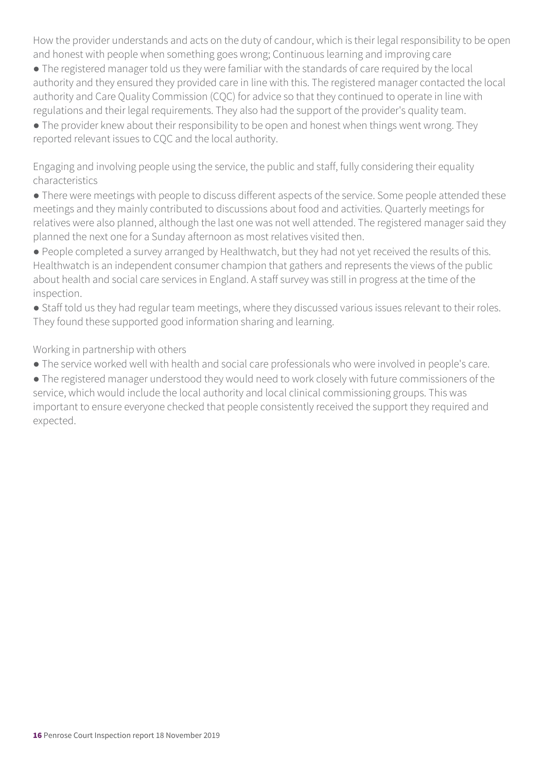How the provider understands and acts on the duty of candour, which is their legal responsibility to be open and honest with people when something goes wrong; Continuous learning and improving care

● The registered manager told us they were familiar with the standards of care required by the local authority and they ensured they provided care in line with this. The registered manager contacted the local authority and Care Quality Commission (CQC) for advice so that they continued to operate in line with regulations and their legal requirements. They also had the support of the provider's quality team.

• The provider knew about their responsibility to be open and honest when things went wrong. They reported relevant issues to CQC and the local authority.

Engaging and involving people using the service, the public and staff, fully considering their equality characteristics

● There were meetings with people to discuss different aspects of the service. Some people attended these meetings and they mainly contributed to discussions about food and activities. Quarterly meetings for relatives were also planned, although the last one was not well attended. The registered manager said they planned the next one for a Sunday afternoon as most relatives visited then.

● People completed a survey arranged by Healthwatch, but they had not yet received the results of this. Healthwatch is an independent consumer champion that gathers and represents the views of the public about health and social care services in England. A staff survey was still in progress at the time of the inspection.

● Staff told us they had regular team meetings, where they discussed various issues relevant to their roles. They found these supported good information sharing and learning.

Working in partnership with others

● The service worked well with health and social care professionals who were involved in people's care.

● The registered manager understood they would need to work closely with future commissioners of the service, which would include the local authority and local clinical commissioning groups. This was important to ensure everyone checked that people consistently received the support they required and expected.